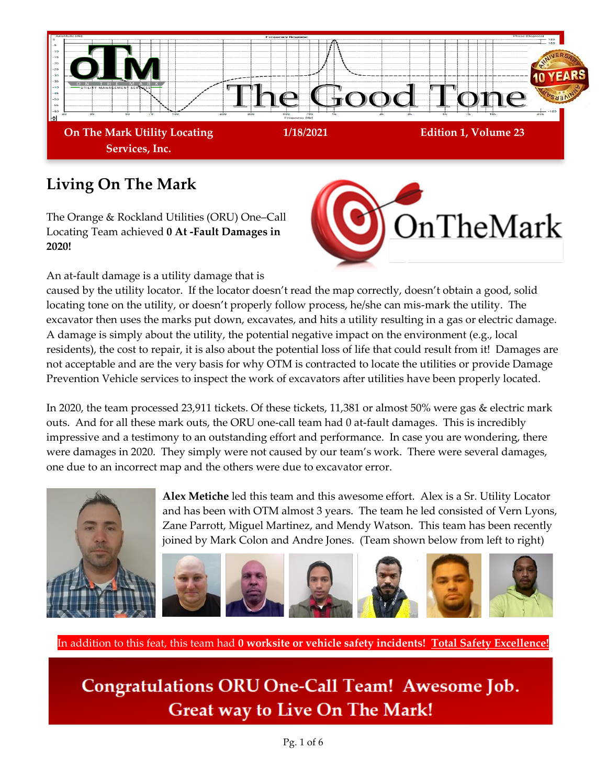

## **Living On The Mark**

The Orange & Rockland Utilities (ORU) One–Call Locating Team achieved **0 At -Fault Damages in 2020!** 

An at-fault damage is a utility damage that is



caused by the utility locator. If the locator doesn't read the map correctly, doesn't obtain a good, solid locating tone on the utility, or doesn't properly follow process, he/she can mis-mark the utility. The excavator then uses the marks put down, excavates, and hits a utility resulting in a gas or electric damage. A damage is simply about the utility, the potential negative impact on the environment (e.g., local residents), the cost to repair, it is also about the potential loss of life that could result from it! Damages are not acceptable and are the very basis for why OTM is contracted to locate the utilities or provide Damage Prevention Vehicle services to inspect the work of excavators after utilities have been properly located.

In 2020, the team processed 23,911 tickets. Of these tickets, 11,381 or almost 50% were gas & electric mark outs. And for all these mark outs, the ORU one-call team had 0 at-fault damages. This is incredibly impressive and a testimony to an outstanding effort and performance. In case you are wondering, there were damages in 2020. They simply were not caused by our team's work. There were several damages, one due to an incorrect map and the others were due to excavator error.



**Alex Metiche** led this team and this awesome effort. Alex is a Sr. Utility Locator and has been with OTM almost 3 years. The team he led consisted of Vern Lyons, Zane Parrott, Miguel Martinez, and Mendy Watson. This team has been recently joined by Mark Colon and Andre Jones. (Team shown below from left to right)



In addition to this feat, this team had **0 worksite or vehicle safety incidents! Total Safety Excellence!**

Congratulations ORU One-Call Team! Awesome Job. **Great way to Live On The Mark!**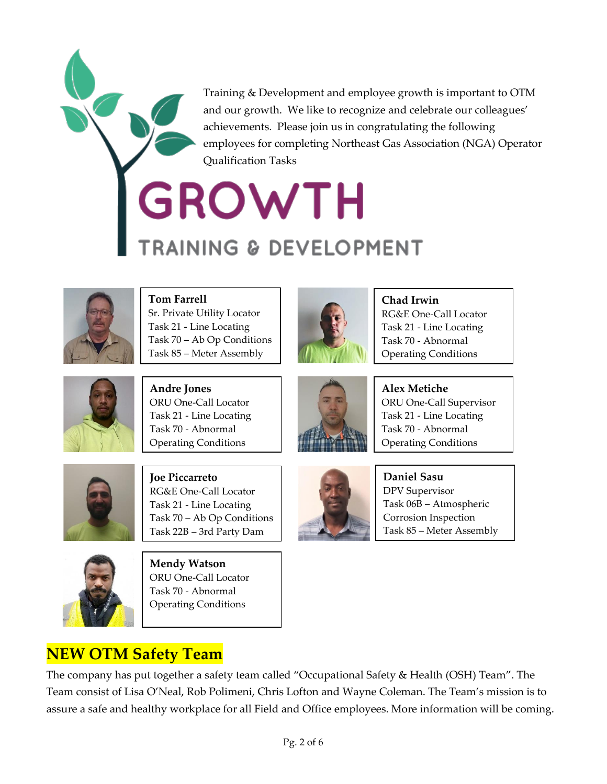Training & Development and employee growth is important to OTM and our growth. We like to recognize and celebrate our colleagues' achievements. Please join us in congratulating the following employees for completing Northeast Gas Association (NGA) Operator Qualification Tasks

# GROWTH **RAINING & DEVELOPMENT**



**Tom Farrell**  Sr. Private Utility Locator Task 21 - Line Locating Task 70 – Ab Op Conditions Task 85 – Meter Assembly



**Chad Irwin**  RG&E One-Call Locator Task 21 - Line Locating Task 70 - Abnormal Operating Conditions



**Andre Jones**  ORU One-Call Locator Task 21 - Line Locating Task 70 - Abnormal Operating Conditions



**Alex Metiche** ORU One-Call Supervisor Task 21 - Line Locating Task 70 - Abnormal Operating Conditions



**Joe Piccarreto** RG&E One-Call Locator Task 21 - Line Locating Task 70 – Ab Op Conditions Task 22B – 3rd Party Dam



**Mendy Watson** ORU One-Call Locator Task 70 - Abnormal Operating Conditions

Damage Insp



**Daniel Sasu** DPV Supervisor Task 06B – Atmospheric Corrosion Inspection Task 85 – Meter Assembly

### **NEW OTM Safety Team**

The company has put together a safety team called "Occupational Safety & Health (OSH) Team". The Team consist of Lisa O'Neal, Rob Polimeni, Chris Lofton and Wayne Coleman. The Team's mission is to assure a safe and healthy workplace for all Field and Office employees. More information will be coming.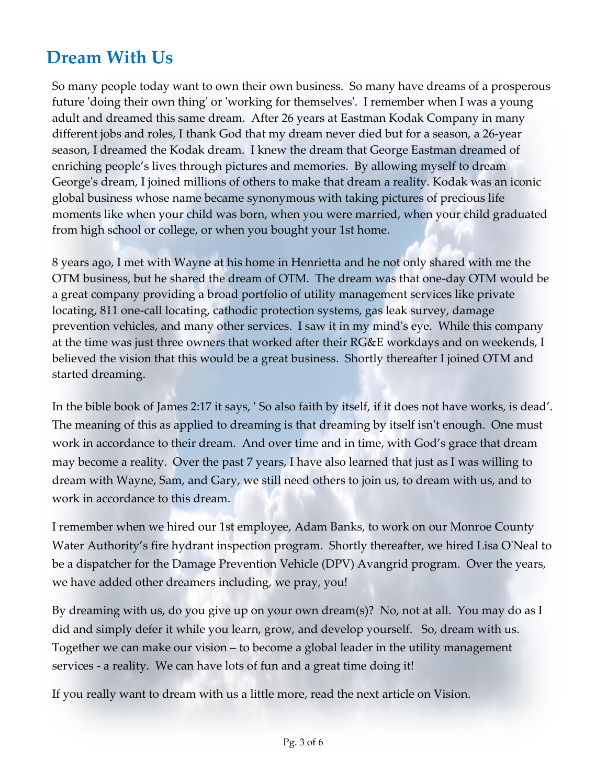## **Dream With Us**

So many people today want to own their own business. So many have dreams of a prosperous future 'doing their own thing' or 'working for themselves'. I remember when I was a young adult and dreamed this same dream. After 26 years at Eastman Kodak Company in many different jobs and roles, I thank God that my dream never died but for a season, a 26-year season, I dreamed the Kodak dream. I knew the dream that George Eastman dreamed of enriching people's lives through pictures and memories. By allowing myself to dream George's dream, I joined millions of others to make that dream a reality. Kodak was an iconic global business whose name became synonymous with taking pictures of precious life moments like when your child was born, when you were married, when your child graduated from high school or college, or when you bought your 1st home.

8 years ago, I met with Wayne at his home in Henrietta and he not only shared with me the OTM business, but he shared the dream of OTM. The dream was that one-day OTM would be a great company providing a broad portfolio of utility management services like private locating, 811 one-call locating, cathodic protection systems, gas leak survey, damage prevention vehicles, and many other services. I saw it in my mind's eye. While this company at the time was just three owners that worked after their RG&E workdays and on weekends, I believed the vision that this would be a great business. Shortly thereafter I joined OTM and started dreaming.

In the bible book of James 2:17 it says, ' So also faith by itself, if it does not have works, is dead'. The meaning of this as applied to dreaming is that dreaming by itself isn't enough. One must work in accordance to their dream. And over time and in time, with God's grace that dream may become a reality. Over the past 7 years, I have also learned that just as I was willing to dream with Wayne, Sam, and Gary, we still need others to join us, to dream with us, and to work in accordance to this dream.

I remember when we hired our 1st employee, Adam Banks, to work on our Monroe County Water Authority's fire hydrant inspection program. Shortly thereafter, we hired Lisa O'Neal to be a dispatcher for the Damage Prevention Vehicle (DPV) Avangrid program. Over the years, we have added other dreamers including, we pray, you!

By dreaming with us, do you give up on your own dream(s)? No, not at all. You may do as I did and simply defer it while you learn, grow, and develop yourself. So, dream with us. Together we can make our vision – to become a global leader in the utility management services - a reality. We can have lots of fun and a great time doing it!

If you really want to dream with us a little more, read the next article on Vision.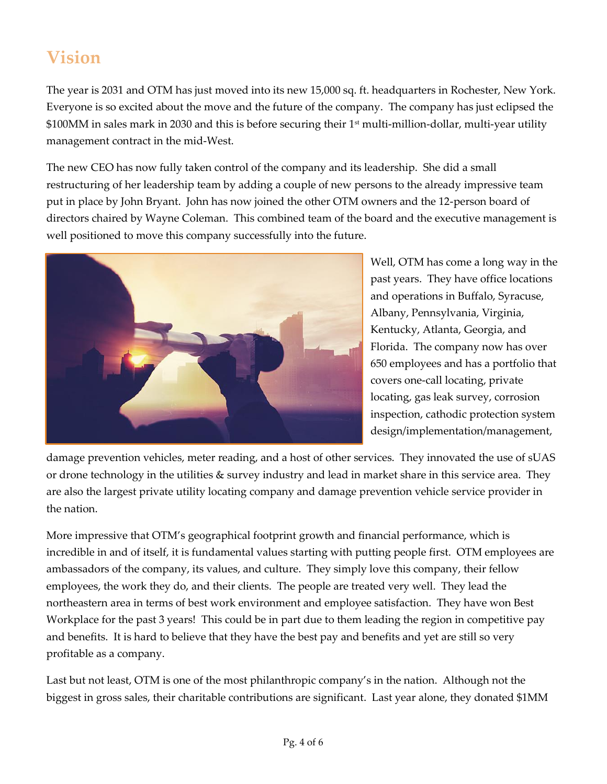# **Vision**

The year is 2031 and OTM has just moved into its new 15,000 sq. ft. headquarters in Rochester, New York. Everyone is so excited about the move and the future of the company. The company has just eclipsed the \$100MM in sales mark in 2030 and this is before securing their 1<sup>st</sup> multi-million-dollar, multi-year utility management contract in the mid-West.

The new CEO has now fully taken control of the company and its leadership. She did a small restructuring of her leadership team by adding a couple of new persons to the already impressive team put in place by John Bryant. John has now joined the other OTM owners and the 12-person board of directors chaired by Wayne Coleman. This combined team of the board and the executive management is well positioned to move this company successfully into the future.



Well, OTM has come a long way in the past years. They have office locations and operations in Buffalo, Syracuse, Albany, Pennsylvania, Virginia, Kentucky, Atlanta, Georgia, and Florida. The company now has over 650 employees and has a portfolio that covers one-call locating, private locating, gas leak survey, corrosion inspection, cathodic protection system design/implementation/management,

damage prevention vehicles, meter reading, and a host of other services. They innovated the use of sUAS or drone technology in the utilities & survey industry and lead in market share in this service area. They are also the largest private utility locating company and damage prevention vehicle service provider in the nation.

More impressive that OTM's geographical footprint growth and financial performance, which is incredible in and of itself, it is fundamental values starting with putting people first. OTM employees are ambassadors of the company, its values, and culture. They simply love this company, their fellow employees, the work they do, and their clients. The people are treated very well. They lead the northeastern area in terms of best work environment and employee satisfaction. They have won Best Workplace for the past 3 years! This could be in part due to them leading the region in competitive pay and benefits. It is hard to believe that they have the best pay and benefits and yet are still so very profitable as a company.

Last but not least, OTM is one of the most philanthropic company's in the nation. Although not the biggest in gross sales, their charitable contributions are significant. Last year alone, they donated \$1MM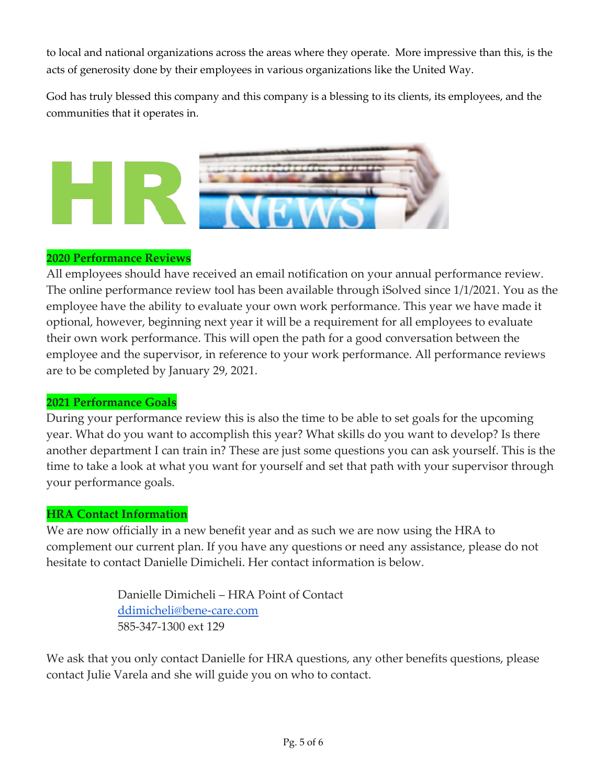to local and national organizations across the areas where they operate. More impressive than this, is the acts of generosity done by their employees in various organizations like the United Way.

God has truly blessed this company and this company is a blessing to its clients, its employees, and the communities that it operates in.



#### **2020 Performance Reviews**

All employees should have received an email notification on your annual performance review. The online performance review tool has been available through iSolved since 1/1/2021. You as the employee have the ability to evaluate your own work performance. This year we have made it optional, however, beginning next year it will be a requirement for all employees to evaluate their own work performance. This will open the path for a good conversation between the employee and the supervisor, in reference to your work performance. All performance reviews are to be completed by January 29, 2021.

#### **2021 Performance Goals**

During your performance review this is also the time to be able to set goals for the upcoming year. What do you want to accomplish this year? What skills do you want to develop? Is there another department I can train in? These are just some questions you can ask yourself. This is the time to take a look at what you want for yourself and set that path with your supervisor through your performance goals.

#### **HRA Contact Information**

We are now officially in a new benefit year and as such we are now using the HRA to complement our current plan. If you have any questions or need any assistance, please do not hesitate to contact Danielle Dimicheli. Her contact information is below.

> Danielle Dimicheli – HRA Point of Contact [ddimicheli@bene-care.com](mailto:ddimicheli@bene-care.com) 585-347-1300 ext 129

We ask that you only contact Danielle for HRA questions, any other benefits questions, please contact Julie Varela and she will guide you on who to contact.